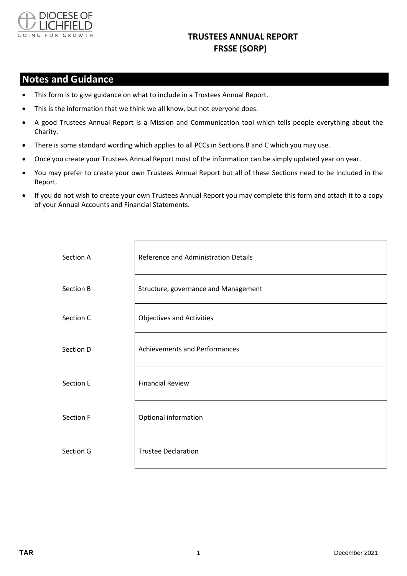

## **TRUSTEES ANNUAL REPORT FRSSE (SORP)**

## **Notes and Guidance**

- This form is to give guidance on what to include in a Trustees Annual Report.
- This is the information that we think we all know, but not everyone does.
- A good Trustees Annual Report is a Mission and Communication tool which tells people everything about the Charity.
- There is some standard wording which applies to all PCCs in Sections B and C which you may use.
- Once you create your Trustees Annual Report most of the information can be simply updated year on year.
- You may prefer to create your own Trustees Annual Report but all of these Sections need to be included in the Report.
- If you do not wish to create your own Trustees Annual Report you may complete this form and attach it to a copy of your Annual Accounts and Financial Statements.

| Section A | Reference and Administration Details |
|-----------|--------------------------------------|
| Section B | Structure, governance and Management |
| Section C | <b>Objectives and Activities</b>     |
| Section D | <b>Achievements and Performances</b> |
| Section E | <b>Financial Review</b>              |
| Section F | Optional information                 |
| Section G | <b>Trustee Declaration</b>           |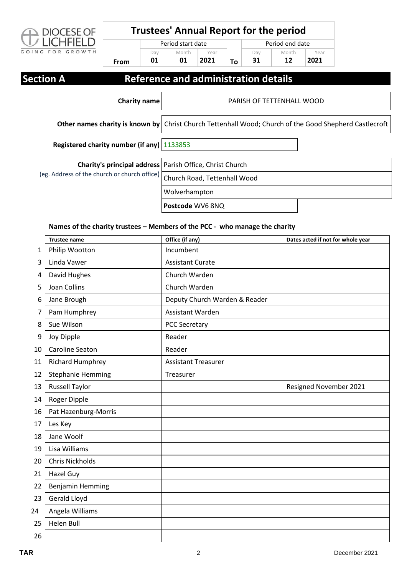

**From**

Day **01**

# **Trustees' Annual Report for the period**

Period start date **Month** Year Day

**To**

**31**

Period end date **Month 12** Year **2021**

## **Section A** Reference and administration details

**2021**

**01**

| <b>Charity name</b>                          | PARISH OF TETTENHALL WOOD                                                                              |  |
|----------------------------------------------|--------------------------------------------------------------------------------------------------------|--|
|                                              | Other names charity is known by Christ Church Tettenhall Wood; Church of the Good Shepherd Castlecroft |  |
| Registered charity number (if any)   1133853 |                                                                                                        |  |
| (eg. Address of the church or church office) | <b>Charity's principal address</b> Parish Office, Christ Church                                        |  |
|                                              | Church Road, Tettenhall Wood                                                                           |  |
|                                              | Wolverhampton                                                                                          |  |
|                                              | Postcode WV6 8NQ                                                                                       |  |

### **Names of the charity trustees – Members of the PCC - who manage the charity**

|    | <b>Trustee name</b>      | Office (if any)               | Dates acted if not for whole year |
|----|--------------------------|-------------------------------|-----------------------------------|
| 1  | Philip Wootton           | Incumbent                     |                                   |
| 3  | Linda Vawer              | <b>Assistant Curate</b>       |                                   |
| 4  | David Hughes             | Church Warden                 |                                   |
| 5  | <b>Joan Collins</b>      | Church Warden                 |                                   |
| 6  | Jane Brough              | Deputy Church Warden & Reader |                                   |
| 7  | Pam Humphrey             | Assistant Warden              |                                   |
| 8  | Sue Wilson               | <b>PCC Secretary</b>          |                                   |
| 9  | Joy Dipple               | Reader                        |                                   |
| 10 | Caroline Seaton          | Reader                        |                                   |
| 11 | <b>Richard Humphrey</b>  | <b>Assistant Treasurer</b>    |                                   |
| 12 | <b>Stephanie Hemming</b> | Treasurer                     |                                   |
| 13 | <b>Russell Taylor</b>    |                               | Resigned November 2021            |
| 14 | Roger Dipple             |                               |                                   |
| 16 | Pat Hazenburg-Morris     |                               |                                   |
| 17 | Les Key                  |                               |                                   |
| 18 | Jane Woolf               |                               |                                   |
| 19 | Lisa Williams            |                               |                                   |
| 20 | <b>Chris Nickholds</b>   |                               |                                   |
| 21 | <b>Hazel Guy</b>         |                               |                                   |
| 22 | <b>Benjamin Hemming</b>  |                               |                                   |
| 23 | Gerald Lloyd             |                               |                                   |
| 24 | Angela Williams          |                               |                                   |
| 25 | <b>Helen Bull</b>        |                               |                                   |
| 26 |                          |                               |                                   |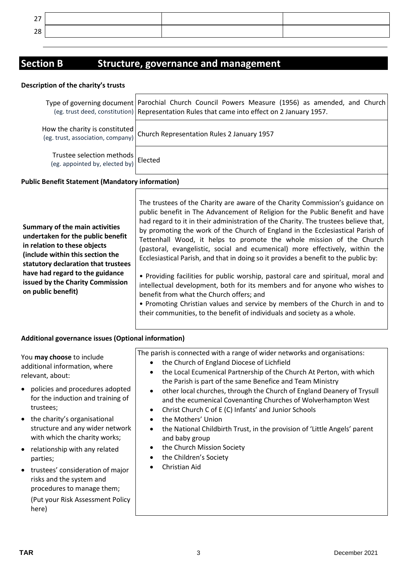| $\sim$ $-$<br>- |  |  |
|-----------------|--|--|
| $\sim$<br>∼     |  |  |

# **Section B Structure, governance and management**

#### **Description of the charity's trusts**

|                                                                     | Type of governing document   Parochial Church Council Powers Measure (1956) as amended, and Church<br>(eg. trust deed, constitution) Representation Rules that came into effect on 2 January 1957. |
|---------------------------------------------------------------------|----------------------------------------------------------------------------------------------------------------------------------------------------------------------------------------------------|
| How the charity is constituted<br>(eg. trust, association, company) | Church Representation Rules 2 January 1957                                                                                                                                                         |
| Trustee selection methods<br>(eg. appointed by, elected by)         | Elected                                                                                                                                                                                            |

The trustees of the Charity are aware of the Charity Commission's guidance on

### **Public Benefit Statement (Mandatory information)**

|                                     | public benefit in The Advancement of Religion for the Public Benefit and have       |
|-------------------------------------|-------------------------------------------------------------------------------------|
|                                     | had regard to it in their administration of the Charity. The trustees believe that, |
| Summary of the main activities      | by promoting the work of the Church of England in the Ecclesiastical Parish of      |
| undertaken for the public benefit   | Tettenhall Wood, it helps to promote the whole mission of the Church                |
| in relation to these objects        | (pastoral, evangelistic, social and ecumenical) more effectively, within the        |
| (include within this section the    | Ecclesiastical Parish, and that in doing so it provides a benefit to the public by: |
| statutory declaration that trustees |                                                                                     |
| have had regard to the guidance     | • Providing facilities for public worship, pastoral care and spiritual, moral and   |
| issued by the Charity Commission    | intellectual development, both for its members and for anyone who wishes to         |
| on public benefit)                  | benefit from what the Church offers; and                                            |
|                                     | . Promoting Christian values and service by members of the Church in and to         |
|                                     | their communities, to the benefit of individuals and society as a whole.            |

### **Additional governance issues (Optional information)**

| You may choose to include<br>additional information, where<br>relevant, about:                     | The parish is connected with a range of wider networks and organisations:<br>the Church of England Diocese of Lichfield<br>$\bullet$<br>the Local Ecumenical Partnership of the Church At Perton, with which<br>the Parish is part of the same Benefice and Team Ministry |
|----------------------------------------------------------------------------------------------------|---------------------------------------------------------------------------------------------------------------------------------------------------------------------------------------------------------------------------------------------------------------------------|
| • policies and procedures adopted<br>for the induction and training of<br>trustees;                | other local churches, through the Church of England Deanery of Trysull<br>$\bullet$<br>and the ecumenical Covenanting Churches of Wolverhampton West<br>Christ Church C of E (C) Infants' and Junior Schools<br>٠                                                         |
| • the charity's organisational<br>structure and any wider network<br>with which the charity works; | the Mothers' Union<br>$\bullet$<br>the National Childbirth Trust, in the provision of 'Little Angels' parent<br>$\bullet$<br>and baby group                                                                                                                               |
| • relationship with any related<br>parties;                                                        | the Church Mission Society<br>٠<br>the Children's Society<br>$\bullet$                                                                                                                                                                                                    |
| • trustees' consideration of major<br>risks and the system and<br>procedures to manage them;       | Christian Aid                                                                                                                                                                                                                                                             |
| (Put your Risk Assessment Policy<br>here)                                                          |                                                                                                                                                                                                                                                                           |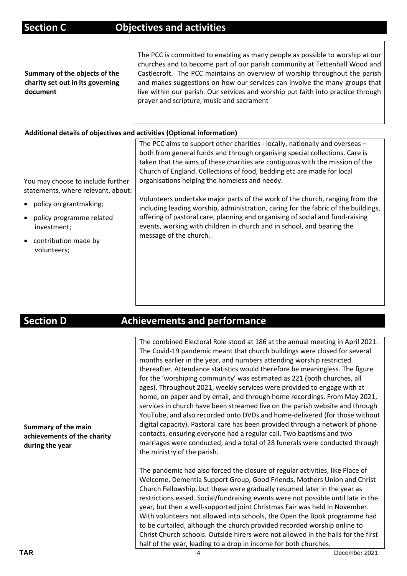| <b>Section C</b>                                                                                                                                                                                                           | <b>Objectives and activities</b>                                                                                                                                                                                                                                                                                                                                                                                                                                                                                                                                                                                                                                                                                                   |
|----------------------------------------------------------------------------------------------------------------------------------------------------------------------------------------------------------------------------|------------------------------------------------------------------------------------------------------------------------------------------------------------------------------------------------------------------------------------------------------------------------------------------------------------------------------------------------------------------------------------------------------------------------------------------------------------------------------------------------------------------------------------------------------------------------------------------------------------------------------------------------------------------------------------------------------------------------------------|
| Summary of the objects of the<br>charity set out in its governing<br>document                                                                                                                                              | The PCC is committed to enabling as many people as possible to worship at our<br>churches and to become part of our parish community at Tettenhall Wood and<br>Castlecroft. The PCC maintains an overview of worship throughout the parish<br>and makes suggestions on how our services can involve the many groups that<br>live within our parish. Our services and worship put faith into practice through<br>prayer and scripture, music and sacrament                                                                                                                                                                                                                                                                          |
| Additional details of objectives and activities (Optional information)                                                                                                                                                     |                                                                                                                                                                                                                                                                                                                                                                                                                                                                                                                                                                                                                                                                                                                                    |
| You may choose to include further<br>statements, where relevant, about:<br>policy on grantmaking;<br>$\bullet$<br>policy programme related<br>$\bullet$<br>investment;<br>contribution made by<br>$\bullet$<br>volunteers; | The PCC aims to support other charities - locally, nationally and overseas -<br>both from general funds and through organising special collections. Care is<br>taken that the aims of these charities are contiguous with the mission of the<br>Church of England. Collections of food, bedding etc are made for local<br>organisations helping the homeless and needy.<br>Volunteers undertake major parts of the work of the church, ranging from the<br>including leading worship, administration, caring for the fabric of the buildings,<br>offering of pastoral care, planning and organising of social and fund-raising<br>events, working with children in church and in school, and bearing the<br>message of the church. |
|                                                                                                                                                                                                                            |                                                                                                                                                                                                                                                                                                                                                                                                                                                                                                                                                                                                                                                                                                                                    |

## **Section D Achievements and performance**

**Summary of the main achievements of the charity during the year** The combined Electoral Role stood at 186 at the annual meeting in April 2021. The Covid-19 pandemic meant that church buildings were closed for several months earlier in the year, and numbers attending worship restricted thereafter. Attendance statistics would therefore be meaningless. The figure for the 'worshiping community' was estimated as 221 (both churches, all ages). Throughout 2021, weekly services were provided to engage with at home, on paper and by email, and through home recordings. From May 2021, services in church have been streamed live on the parish website and through YouTube, and also recorded onto DVDs and home-delivered (for those without digital capacity). Pastoral care has been provided through a network of phone contacts, ensuring everyone had a regular call. Two baptisms and two marriages were conducted, and a total of 28 funerals were conducted through the ministry of the parish. The pandemic had also forced the closure of regular activities, like Place of Welcome, Dementia Support Group, Good Friends, Mothers Union and Christ Church Fellowship, but these were gradually resumed later in the year as restrictions eased. Social/fundraising events were not possible until late in the year, but then a well-supported joint Christmas Fair was held in November. With volunteers not allowed into schools, the Open the Book programme had to be curtailed, although the church provided recorded worship online to Christ Church schools. Outside hirers were not allowed in the halls for the first half of the year, leading to a drop in income for both churches.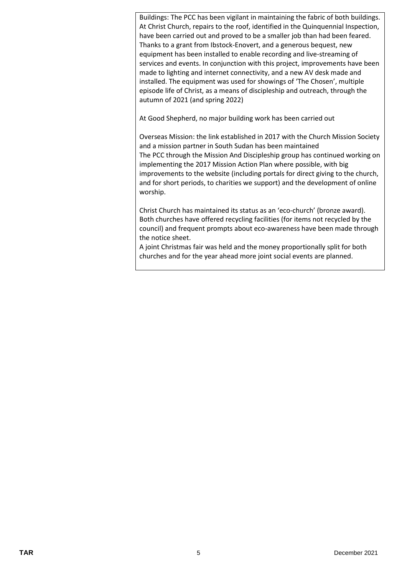Buildings: The PCC has been vigilant in maintaining the fabric of both buildings. At Christ Church, repairs to the roof, identified in the Quinquennial Inspection, have been carried out and proved to be a smaller job than had been feared. Thanks to a grant from Ibstock-Enovert, and a generous bequest, new equipment has been installed to enable recording and live-streaming of services and events. In conjunction with this project, improvements have been made to lighting and internet connectivity, and a new AV desk made and installed. The equipment was used for showings of 'The Chosen', multiple episode life of Christ, as a means of discipleship and outreach, through the autumn of 2021 (and spring 2022)

At Good Shepherd, no major building work has been carried out

Overseas Mission: the link established in 2017 with the Church Mission Society and a mission partner in South Sudan has been maintained The PCC through the Mission And Discipleship group has continued working on implementing the 2017 Mission Action Plan where possible, with big improvements to the website (including portals for direct giving to the church, and for short periods, to charities we support) and the development of online worship.

Christ Church has maintained its status as an 'eco-church' (bronze award). Both churches have offered recycling facilities (for items not recycled by the council) and frequent prompts about eco-awareness have been made through the notice sheet.

A joint Christmas fair was held and the money proportionally split for both churches and for the year ahead more joint social events are planned.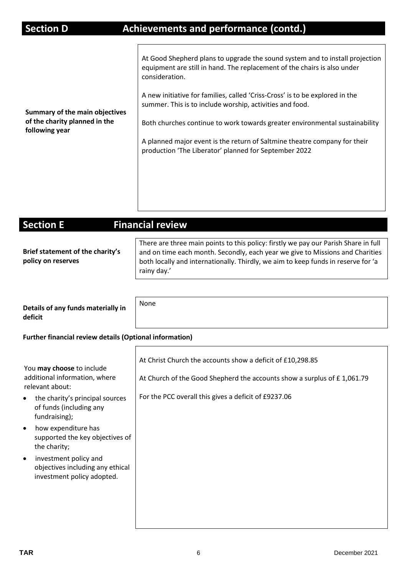| Summary of the main objectives<br>of the charity planned in the<br>following year | At Good Shepherd plans to upgrade the sound system and to install projection<br>equipment are still in hand. The replacement of the chairs is also under<br>consideration.<br>A new initiative for families, called 'Criss-Cross' is to be explored in the<br>summer. This is to include worship, activities and food.<br>Both churches continue to work towards greater environmental sustainability |
|-----------------------------------------------------------------------------------|-------------------------------------------------------------------------------------------------------------------------------------------------------------------------------------------------------------------------------------------------------------------------------------------------------------------------------------------------------------------------------------------------------|
|                                                                                   | A planned major event is the return of Saltmine theatre company for their<br>production 'The Liberator' planned for September 2022                                                                                                                                                                                                                                                                    |

| <b>Section E</b>                                       | <b>Financial review</b>                                                                                                                                                                                                                                                  |
|--------------------------------------------------------|--------------------------------------------------------------------------------------------------------------------------------------------------------------------------------------------------------------------------------------------------------------------------|
| Brief statement of the charity's<br>policy on reserves | There are three main points to this policy: firstly we pay our Parish Share in full<br>and on time each month. Secondly, each year we give to Missions and Charities<br>both locally and internationally. Thirdly, we aim to keep funds in reserve for 'a<br>rainy day.' |

**Details of any funds materially in deficit**

### **Further financial review details (Optional information)**

None

 $\mathbf{r}$ 

| You may choose to include<br>additional information, where<br>relevant about:                        | At Christ Church the accounts show a deficit of £10,298.85<br>At Church of the Good Shepherd the accounts show a surplus of £1,061.79 |
|------------------------------------------------------------------------------------------------------|---------------------------------------------------------------------------------------------------------------------------------------|
| the charity's principal sources<br>$\bullet$<br>of funds (including any<br>fundraising);             | For the PCC overall this gives a deficit of £9237.06                                                                                  |
| how expenditure has<br>$\bullet$<br>supported the key objectives of<br>the charity;                  |                                                                                                                                       |
| investment policy and<br>$\bullet$<br>objectives including any ethical<br>investment policy adopted. |                                                                                                                                       |